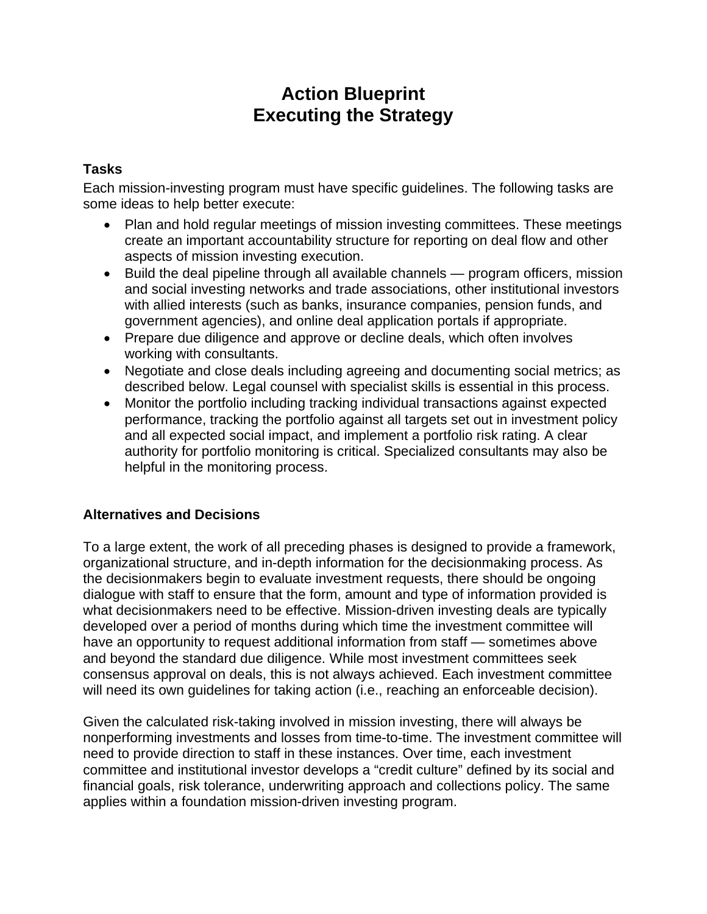# **Action Blueprint Executing the Strategy**

### **Tasks**

Each mission-investing program must have specific guidelines. The following tasks are some ideas to help better execute:

- Plan and hold regular meetings of mission investing committees. These meetings create an important accountability structure for reporting on deal flow and other aspects of mission investing execution.
- Build the deal pipeline through all available channels program officers, mission and social investing networks and trade associations, other institutional investors with allied interests (such as banks, insurance companies, pension funds, and government agencies), and online deal application portals if appropriate.
- Prepare due diligence and approve or decline deals, which often involves working with consultants.
- Negotiate and close deals including agreeing and documenting social metrics; as described below. Legal counsel with specialist skills is essential in this process.
- Monitor the portfolio including tracking individual transactions against expected performance, tracking the portfolio against all targets set out in investment policy and all expected social impact, and implement a portfolio risk rating. A clear authority for portfolio monitoring is critical. Specialized consultants may also be helpful in the monitoring process.

## **Alternatives and Decisions**

To a large extent, the work of all preceding phases is designed to provide a framework, organizational structure, and in-depth information for the decisionmaking process. As the decisionmakers begin to evaluate investment requests, there should be ongoing dialogue with staff to ensure that the form, amount and type of information provided is what decisionmakers need to be effective. Mission-driven investing deals are typically developed over a period of months during which time the investment committee will have an opportunity to request additional information from staff — sometimes above and beyond the standard due diligence. While most investment committees seek consensus approval on deals, this is not always achieved. Each investment committee will need its own guidelines for taking action (i.e., reaching an enforceable decision).

Given the calculated risk-taking involved in mission investing, there will always be nonperforming investments and losses from time-to-time. The investment committee will need to provide direction to staff in these instances. Over time, each investment committee and institutional investor develops a "credit culture" defined by its social and financial goals, risk tolerance, underwriting approach and collections policy. The same applies within a foundation mission-driven investing program.